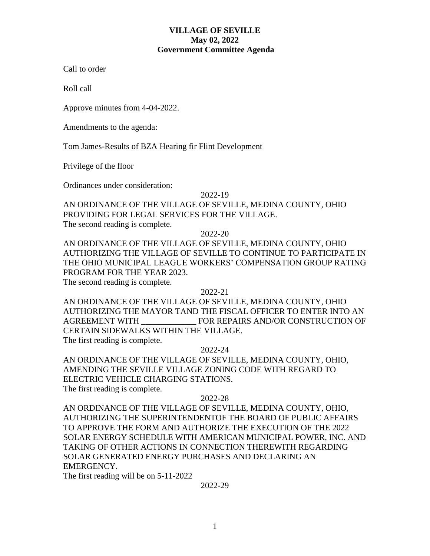## **VILLAGE OF SEVILLE May 02, 2022 Government Committee Agenda**

Call to order

Roll call

Approve minutes from 4-04-2022.

Amendments to the agenda:

Tom James-Results of BZA Hearing fir Flint Development

Privilege of the floor

Ordinances under consideration:

2022-19

AN ORDINANCE OF THE VILLAGE OF SEVILLE, MEDINA COUNTY, OHIO PROVIDING FOR LEGAL SERVICES FOR THE VILLAGE. The second reading is complete.

2022-20

AN ORDINANCE OF THE VILLAGE OF SEVILLE, MEDINA COUNTY, OHIO AUTHORIZING THE VILLAGE OF SEVILLE TO CONTINUE TO PARTICIPATE IN THE OHIO MUNICIPAL LEAGUE WORKERS' COMPENSATION GROUP RATING PROGRAM FOR THE YEAR 2023.

The second reading is complete.

### 2022-21

AN ORDINANCE OF THE VILLAGE OF SEVILLE, MEDINA COUNTY, OHIO AUTHORIZING THE MAYOR TAND THE FISCAL OFFICER TO ENTER INTO AN AGREEMENT WITH \_\_\_\_\_\_\_\_\_\_\_\_\_ FOR REPAIRS AND/OR CONSTRUCTION OF CERTAIN SIDEWALKS WITHIN THE VILLAGE. The first reading is complete.

### 2022-24

AN ORDINANCE OF THE VILLAGE OF SEVILLE, MEDINA COUNTY, OHIO, AMENDING THE SEVILLE VILLAGE ZONING CODE WITH REGARD TO ELECTRIC VEHICLE CHARGING STATIONS.

The first reading is complete.

### 2022-28

AN ORDINANCE OF THE VILLAGE OF SEVILLE, MEDINA COUNTY, OHIO, AUTHORIZING THE SUPERINTENDENTOF THE BOARD OF PUBLIC AFFAIRS TO APPROVE THE FORM AND AUTHORIZE THE EXECUTION OF THE 2022 SOLAR ENERGY SCHEDULE WITH AMERICAN MUNICIPAL POWER, INC. AND TAKING OF OTHER ACTIONS IN CONNECTION THEREWITH REGARDING SOLAR GENERATED ENERGY PURCHASES AND DECLARING AN EMERGENCY.

The first reading will be on 5-11-2022

### 2022-29